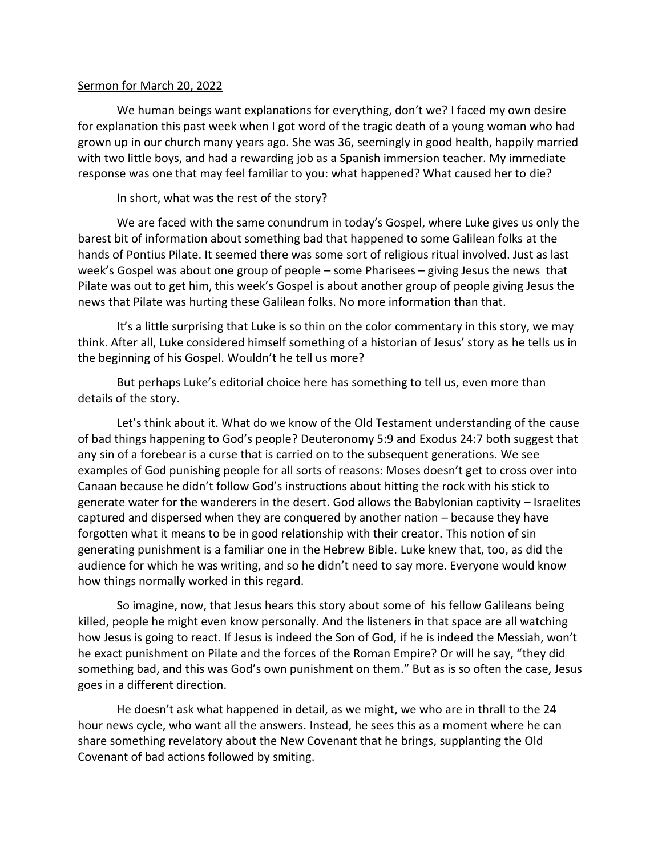## Sermon for March 20, 2022

We human beings want explanations for everything, don't we? I faced my own desire for explanation this past week when I got word of the tragic death of a young woman who had grown up in our church many years ago. She was 36, seemingly in good health, happily married with two little boys, and had a rewarding job as a Spanish immersion teacher. My immediate response was one that may feel familiar to you: what happened? What caused her to die?

In short, what was the rest of the story?

We are faced with the same conundrum in today's Gospel, where Luke gives us only the barest bit of information about something bad that happened to some Galilean folks at the hands of Pontius Pilate. It seemed there was some sort of religious ritual involved. Just as last week's Gospel was about one group of people – some Pharisees – giving Jesus the news that Pilate was out to get him, this week's Gospel is about another group of people giving Jesus the news that Pilate was hurting these Galilean folks. No more information than that.

It's a little surprising that Luke is so thin on the color commentary in this story, we may think. After all, Luke considered himself something of a historian of Jesus' story as he tells us in the beginning of his Gospel. Wouldn't he tell us more?

But perhaps Luke's editorial choice here has something to tell us, even more than details of the story.

Let's think about it. What do we know of the Old Testament understanding of the cause of bad things happening to God's people? Deuteronomy 5:9 and Exodus 24:7 both suggest that any sin of a forebear is a curse that is carried on to the subsequent generations. We see examples of God punishing people for all sorts of reasons: Moses doesn't get to cross over into Canaan because he didn't follow God's instructions about hitting the rock with his stick to generate water for the wanderers in the desert. God allows the Babylonian captivity – Israelites captured and dispersed when they are conquered by another nation – because they have forgotten what it means to be in good relationship with their creator. This notion of sin generating punishment is a familiar one in the Hebrew Bible. Luke knew that, too, as did the audience for which he was writing, and so he didn't need to say more. Everyone would know how things normally worked in this regard.

So imagine, now, that Jesus hears this story about some of his fellow Galileans being killed, people he might even know personally. And the listeners in that space are all watching how Jesus is going to react. If Jesus is indeed the Son of God, if he is indeed the Messiah, won't he exact punishment on Pilate and the forces of the Roman Empire? Or will he say, "they did something bad, and this was God's own punishment on them." But as is so often the case, Jesus goes in a different direction.

He doesn't ask what happened in detail, as we might, we who are in thrall to the 24 hour news cycle, who want all the answers. Instead, he sees this as a moment where he can share something revelatory about the New Covenant that he brings, supplanting the Old Covenant of bad actions followed by smiting.